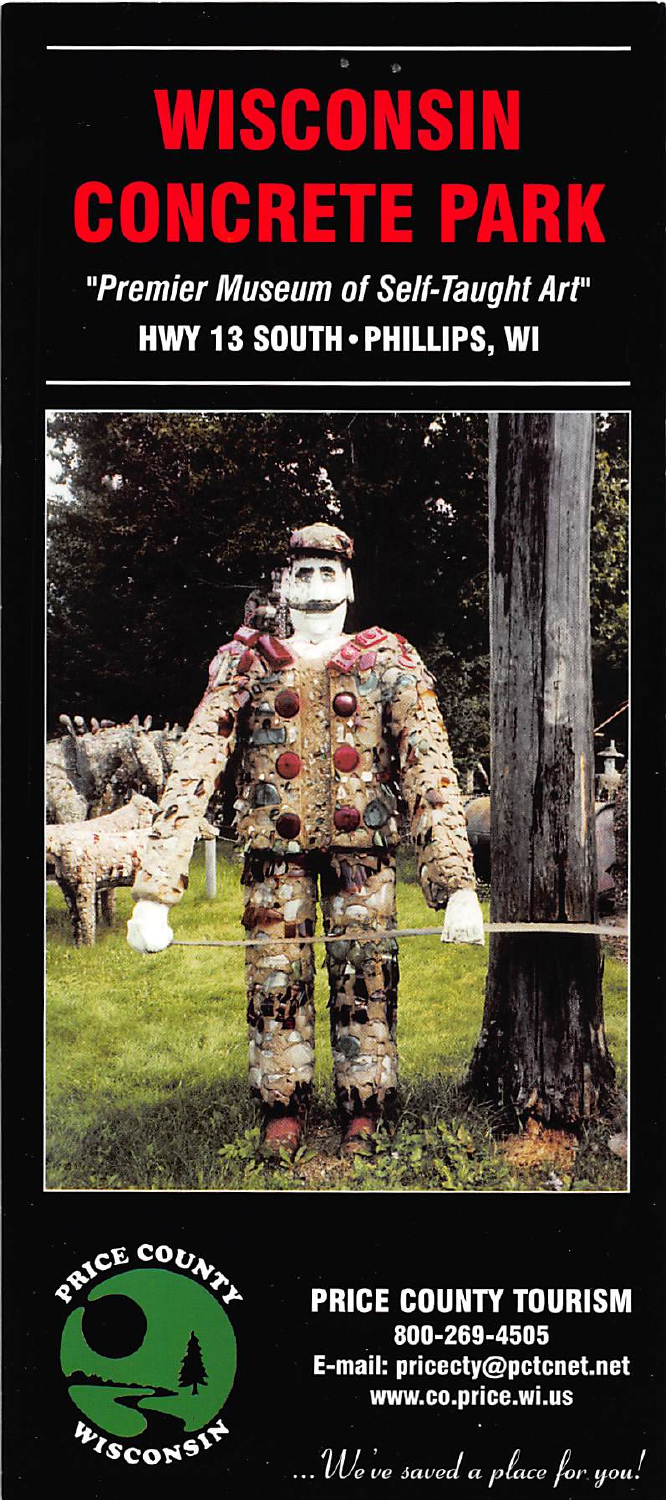## WISCONSIN **CONGRETE PARK**

## "Premier Museum of Self-Taught Art" **HWY 13 SOUTH · PHILLIPS, WI**





**PRICE COUNTY TOURISM** 800-269-4505 E-mail: pricecty@pctcnet.net www.co.price.wi.us

We've saved a place for you!